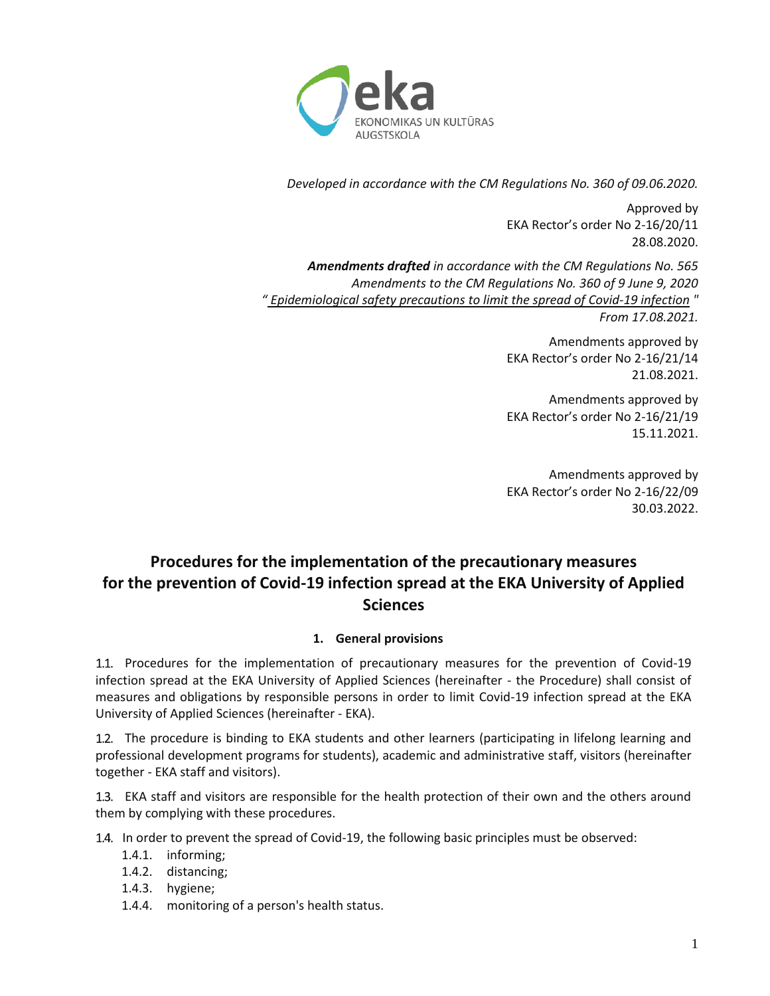

*Developed in accordance with the CM Regulations No. 360 of 09.06.2020.*

Approved by EKA Rector's order No 2-16/20/11 28.08.2020.

*Amendments drafted in accordance with the CM Regulations No. 565 Amendments to the CM Regulations No. 360 of 9 June 9, 2020 " [Epidemiological safety precautions to limit the spread of Covid-19 infection](https://likumi.lv/ta/id/315304-epidemiologiskas-drosibas-pasakumi-covid-19-infekcijas-izplatibas-ierobezosanai) " From 17.08.2021.*

> Amendments approved by EKA Rector's order No 2-16/21/14 21.08.2021.

> Amendments approved by EKA Rector's order No 2-16/21/19 15.11.2021.

> Amendments approved by EKA Rector's order No 2-16/22/09 30.03.2022.

# **Procedures for the implementation of the precautionary measures for the prevention of Covid-19 infection spread at the EKA University of Applied Sciences**

## **1. General provisions**

1.1. Procedures for the implementation of precautionary measures for the prevention of Covid-19 infection spread at the EKA University of Applied Sciences (hereinafter - the Procedure) shall consist of measures and obligations by responsible persons in order to limit Covid-19 infection spread at the EKA University of Applied Sciences (hereinafter - EKA).

1.2. The procedure is binding to EKA students and other learners (participating in lifelong learning and professional development programs for students), academic and administrative staff, visitors (hereinafter together - EKA staff and visitors).

EKA staff and visitors are responsible for the health protection of their own and the others around them by complying with these procedures.

- 1.4. In order to prevent the spread of Covid-19, the following basic principles must be observed:
	- 1.4.1. informing;
	- 1.4.2. distancing;
	- 1.4.3. hygiene;
	- 1.4.4. monitoring of a person's health status.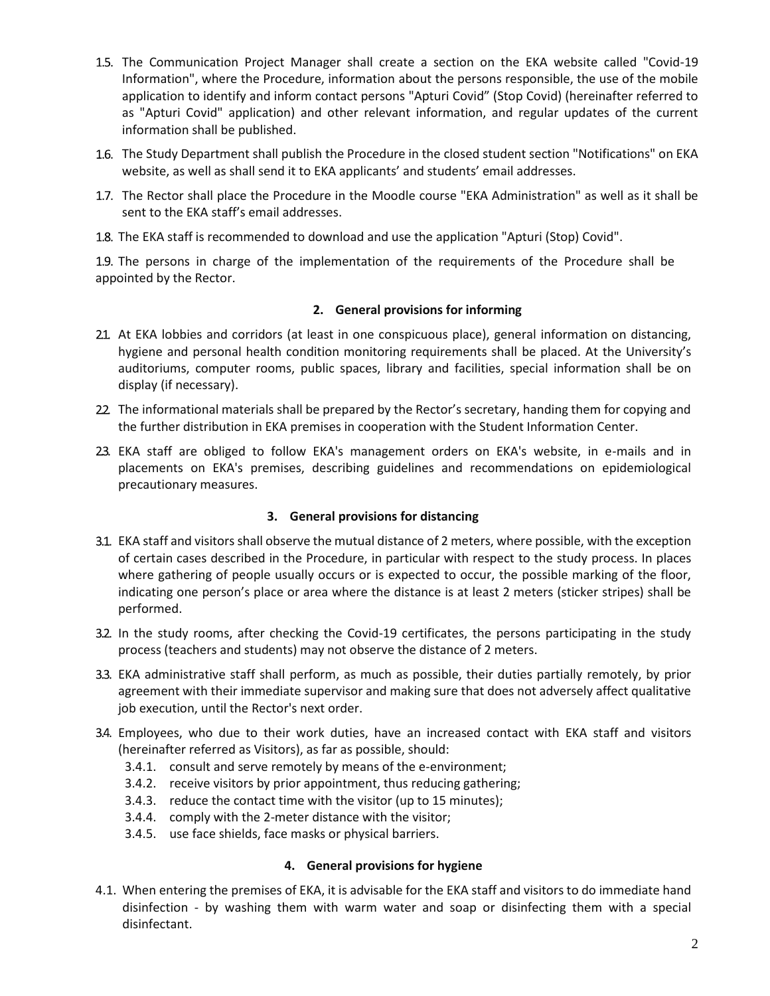- 1.5. The Communication Project Manager shall create a section on the EKA website called "Covid-19 Information", where the Procedure, information about the persons responsible, the use of the mobile application to identify and inform contact persons "Apturi Covid" (Stop Covid) (hereinafter referred to as "Apturi Covid" application) and other relevant information, and regular updates of the current information shall be published.
- 1.6. The Study Department shall publish the Procedure in the closed student section "Notifications" on EKA website, as well as shall send it to EKA applicants' and students' email addresses.
- 1.7. The Rector shall place the Procedure in the Moodle course "EKA Administration" as well as it shall be sent to the EKA staff's email addresses.
- The EKA staff is recommended to download and use the application "Apturi (Stop) Covid".

1.9. The persons in charge of the implementation of the requirements of the Procedure shall be appointed by the Rector.

### **2. General provisions for informing**

- 21. At EKA lobbies and corridors (at least in one conspicuous place), general information on distancing, hygiene and personal health condition monitoring requirements shall be placed. At the University's auditoriums, computer rooms, public spaces, library and facilities, special information shall be on display (if necessary).
- 22 The informational materials shall be prepared by the Rector's secretary, handing them for copying and the further distribution in EKA premises in cooperation with the Student Information Center.
- EKA staff are obliged to follow EKA's management orders on EKA's website, in e-mails and in placements on EKA's premises, describing guidelines and recommendations on epidemiological precautionary measures.

#### **3. General provisions for distancing**

- EKA staff and visitors shall observe the mutual distance of 2 meters, where possible, with the exception of certain cases described in the Procedure, in particular with respect to the study process. In places where gathering of people usually occurs or is expected to occur, the possible marking of the floor, indicating one person's place or area where the distance is at least 2 meters (sticker stripes) shall be performed.
- In the study rooms, after checking the Covid-19 certificates, the persons participating in the study process (teachers and students) may not observe the distance of 2 meters.
- EKA administrative staff shall perform, as much as possible, their duties partially remotely, by prior agreement with their immediate supervisor and making sure that does not adversely affect qualitative job execution, until the Rector's next order.
- Employees, who due to their work duties, have an increased contact with EKA staff and visitors (hereinafter referred as Visitors), as far as possible, should:
	- 3.4.1. consult and serve remotely by means of the e-environment;
	- 3.4.2. receive visitors by prior appointment, thus reducing gathering;
	- 3.4.3. reduce the contact time with the visitor (up to 15 minutes);
	- 3.4.4. comply with the 2-meter distance with the visitor;
	- 3.4.5. use face shields, face masks or physical barriers.

#### **4. General provisions for hygiene**

4.1. When entering the premises of EKA, it is advisable for the EKA staff and visitors to do immediate hand disinfection - by washing them with warm water and soap or disinfecting them with a special disinfectant.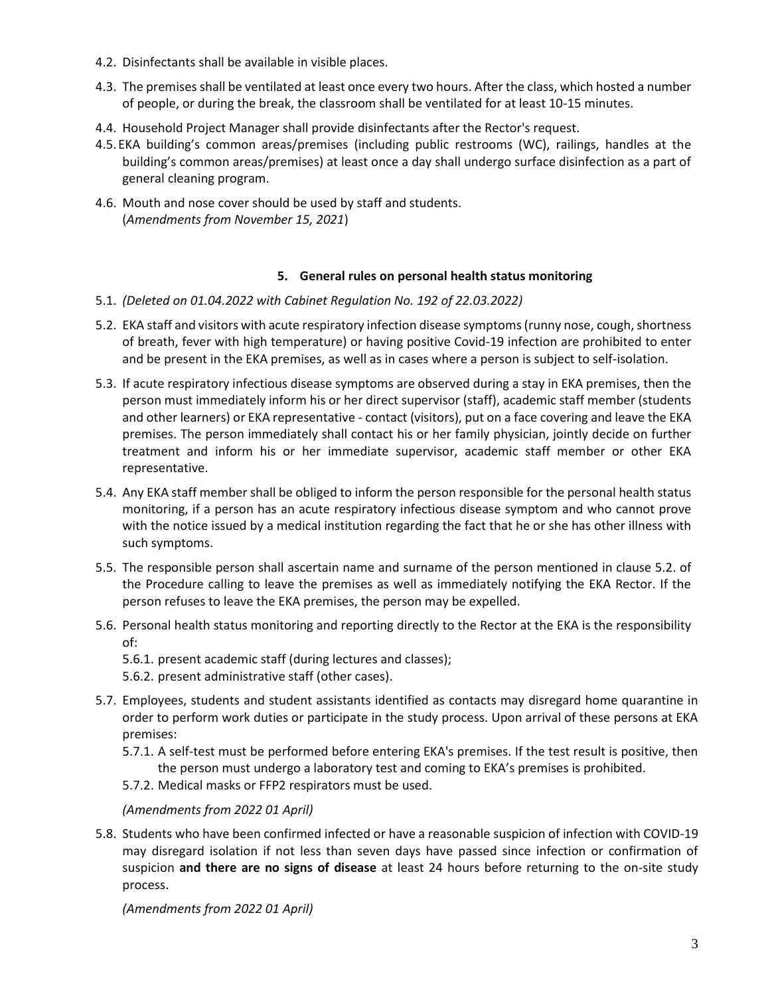- 4.2. Disinfectants shall be available in visible places.
- 4.3. The premises shall be ventilated at least once every two hours. After the class, which hosted a number of people, or during the break, the classroom shall be ventilated for at least 10-15 minutes.
- 4.4. Household Project Manager shall provide disinfectants after the Rector's request.
- 4.5.EKA building's common areas/premises (including public restrooms (WC), railings, handles at the building's common areas/premises) at least once a day shall undergo surface disinfection as a part of general cleaning program.
- 4.6. Mouth and nose cover should be used by staff and students. (*Amendments from November 15, 2021*)

### **5. General rules on personal health status monitoring**

- 5.1. *(Deleted on 01.04.2022 with Cabinet Regulation No. 192 of 22.03.2022)*
- 5.2. EKA staff and visitors with acute respiratory infection disease symptoms (runny nose, cough, shortness of breath, fever with high temperature) or having positive Covid-19 infection are prohibited to enter and be present in the EKA premises, as well as in cases where a person is subject to self-isolation.
- 5.3. If acute respiratory infectious disease symptoms are observed during a stay in EKA premises, then the person must immediately inform his or her direct supervisor (staff), academic staff member (students and other learners) or EKA representative - contact (visitors), put on a face covering and leave the EKA premises. The person immediately shall contact his or her family physician, jointly decide on further treatment and inform his or her immediate supervisor, academic staff member or other EKA representative.
- 5.4. Any EKA staff member shall be obliged to inform the person responsible for the personal health status monitoring, if a person has an acute respiratory infectious disease symptom and who cannot prove with the notice issued by a medical institution regarding the fact that he or she has other illness with such symptoms.
- 5.5. The responsible person shall ascertain name and surname of the person mentioned in clause 5.2. of the Procedure calling to leave the premises as well as immediately notifying the EKA Rector. If the person refuses to leave the EKA premises, the person may be expelled.
- 5.6. Personal health status monitoring and reporting directly to the Rector at the EKA is the responsibility of:
	- 5.6.1. present academic staff (during lectures and classes);
	- 5.6.2. present administrative staff (other cases).
- 5.7. Employees, students and student assistants identified as contacts may disregard home quarantine in order to perform work duties or participate in the study process. Upon arrival of these persons at EKA premises:
	- 5.7.1. A self-test must be performed before entering EKA's premises. If the test result is positive, then the person must undergo a laboratory test and coming to EKA's premises is prohibited.
	- 5.7.2. Medical masks or FFP2 respirators must be used.

## *(Amendments from 2022 01 April)*

5.8. Students who have been confirmed infected or have a reasonable suspicion of infection with COVID-19 may disregard isolation if not less than seven days have passed since infection or confirmation of suspicion **and there are no signs of disease** at least 24 hours before returning to the on-site study process.

*(Amendments from 2022 01 April)*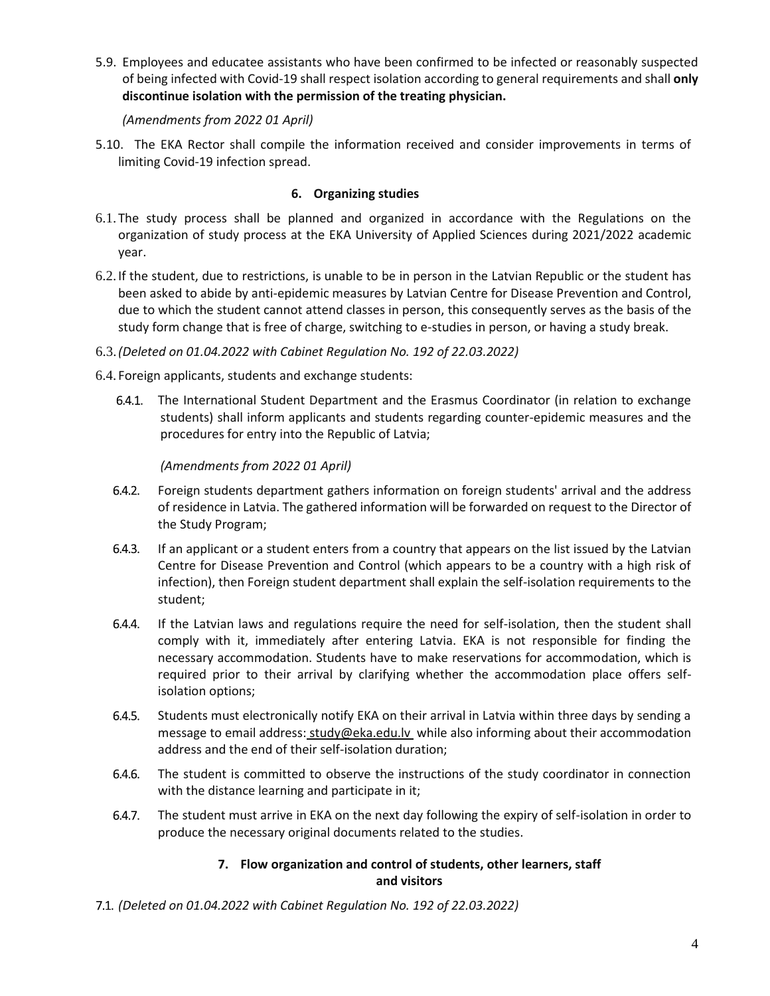5.9. Employees and educatee assistants who have been confirmed to be infected or reasonably suspected of being infected with Covid-19 shall respect isolation according to general requirements and shall **only discontinue isolation with the permission of the treating physician.** 

#### *(Amendments from 2022 01 April)*

5.10. The EKA Rector shall compile the information received and consider improvements in terms of limiting Covid-19 infection spread.

## **6. Organizing studies**

- 6.1. The study process shall be planned and organized in accordance with the Regulations on the organization of study process at the EKA University of Applied Sciences during 2021/2022 academic year.
- 6.2. If the student, due to restrictions, is unable to be in person in the Latvian Republic or the student has been asked to abide by anti-epidemic measures by Latvian Centre for Disease Prevention and Control, due to which the student cannot attend classes in person, this consequently serves as the basis of the study form change that is free of charge, switching to e-studies in person, or having a study break.
- 6.3.*(Deleted on 01.04.2022 with Cabinet Regulation No. 192 of 22.03.2022)*
- 6.4. Foreign applicants, students and exchange students:
	- 6.4.1. The International Student Department and the Erasmus Coordinator (in relation to exchange students) shall inform applicants and students regarding counter-epidemic measures and the procedures for entry into the Republic of Latvia;

*(Amendments from 2022 01 April)*

- $6.4.2.$ Foreign students department gathers information on foreign students' arrival and the address of residence in Latvia. The gathered information will be forwarded on request to the Director of the Study Program;
- If an applicant or a student enters from a country that appears on the list issued by the Latvian  $6.4.3.$ Centre for Disease Prevention and Control (which appears to be a country with a high risk of infection), then Foreign student department shall explain the self-isolation requirements to the student;
- 6.4.4. If the Latvian laws and regulations require the need for self-isolation, then the student shall comply with it, immediately after entering Latvia. EKA is not responsible for finding the necessary accommodation. Students have to make reservations for accommodation, which is required prior to their arrival by clarifying whether the accommodation place offers selfisolation options;
- $6.4.5.$ Students must electronically notify EKA on their arrival in Latvia within three days by sending a message to email address: [study@eka.edu.lv](mailto:study@eka.edu.lv) while also informing about their accommodation address and the end of their self-isolation duration;
- $6.4.6.$ The student is committed to observe the instructions of the study coordinator in connection with the distance learning and participate in it;
- $6.4.7.$ The student must arrive in EKA on the next day following the expiry of self-isolation in order to produce the necessary original documents related to the studies.

## **7. Flow organization and control of students, other learners, staff and visitors**

*(Deleted on 01.04.2022 with Cabinet Regulation No. 192 of 22.03.2022)*